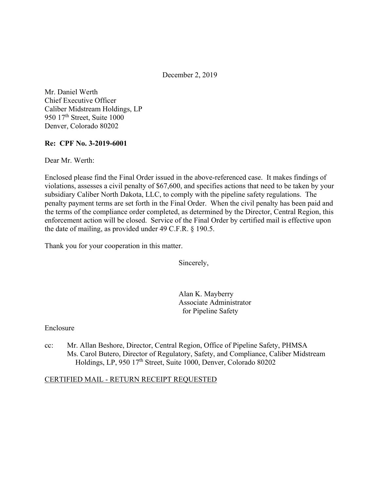December 2, 2019

Mr. Daniel Werth Chief Executive Officer Caliber Midstream Holdings, LP 950 17<sup>th</sup> Street, Suite 1000 Denver, Colorado 80202

## **Re: CPF No. 3-2019-6001**

Dear Mr. Werth:

Enclosed please find the Final Order issued in the above-referenced case. It makes findings of violations, assesses a civil penalty of \$67,600, and specifies actions that need to be taken by your subsidiary Caliber North Dakota, LLC, to comply with the pipeline safety regulations. The penalty payment terms are set forth in the Final Order. When the civil penalty has been paid and the terms of the compliance order completed, as determined by the Director, Central Region, this enforcement action will be closed. Service of the Final Order by certified mail is effective upon the date of mailing, as provided under 49 C.F.R. § 190.5.

Thank you for your cooperation in this matter.

Sincerely,

Alan K. Mayberry Associate Administrator for Pipeline Safety

#### Enclosure

cc: Mr. Allan Beshore, Director, Central Region, Office of Pipeline Safety, PHMSA Ms. Carol Butero, Director of Regulatory, Safety, and Compliance, Caliber Midstream Holdings, LP, 950 17<sup>th</sup> Street, Suite 1000, Denver, Colorado 80202

#### CERTIFIED MAIL - RETURN RECEIPT REQUESTED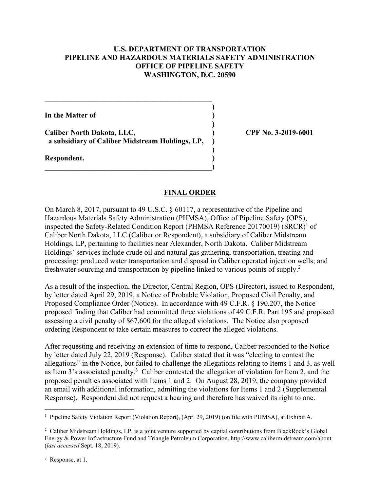## **U.S. DEPARTMENT OF TRANSPORTATION PIPELINE AND HAZARDOUS MATERIALS SAFETY ADMINISTRATION OFFICE OF PIPELINE SAFETY WASHINGTON, D.C. 20590**

**)** 

**)** 

**)** 

**In the Matter of )** 

Caliber North Dakota, LLC,  $\qquad \qquad$  (PF No. 3-2019-6001)  **a subsidiary of Caliber Midstream Holdings, LP, )** 

 $\overline{\phantom{a}}$ 

**\_\_\_\_\_\_\_\_\_\_\_\_\_\_\_\_\_\_\_\_\_\_\_\_\_\_\_\_\_\_\_\_\_\_\_\_\_\_\_\_\_\_\_\_\_** 

**Respondent. )** 

### **FINAL ORDER**

On March 8, 2017, pursuant to 49 U.S.C. § 60117, a representative of the Pipeline and Hazardous Materials Safety Administration (PHMSA), Office of Pipeline Safety (OPS), inspected the Safety-Related Condition Report (PHMSA Reference 20170019) (SRCR)<sup>1</sup> of Caliber North Dakota, LLC (Caliber or Respondent), a subsidiary of Caliber Midstream Holdings, LP, pertaining to facilities near Alexander, North Dakota. Caliber Midstream Holdings' services include crude oil and natural gas gathering, transportation, treating and processing; produced water transportation and disposal in Caliber operated injection wells; and freshwater sourcing and transportation by pipeline linked to various points of supply.2

As a result of the inspection, the Director, Central Region, OPS (Director), issued to Respondent, by letter dated April 29, 2019, a Notice of Probable Violation, Proposed Civil Penalty, and Proposed Compliance Order (Notice). In accordance with 49 C.F.R. § 190.207, the Notice proposed finding that Caliber had committed three violations of 49 C.F.R. Part 195 and proposed assessing a civil penalty of \$67,600 for the alleged violations. The Notice also proposed ordering Respondent to take certain measures to correct the alleged violations.

After requesting and receiving an extension of time to respond, Caliber responded to the Notice by letter dated July 22, 2019 (Response). Caliber stated that it was "electing to contest the allegations" in the Notice, but failed to challenge the allegations relating to Items 1 and 3, as well as Item 3's associated penalty.<sup>3</sup> Caliber contested the allegation of violation for Item 2, and the proposed penalties associated with Items 1 and 2. On August 28, 2019, the company provided an email with additional information, admitting the violations for Items 1 and 2 (Supplemental Response). Respondent did not request a hearing and therefore has waived its right to one.

<sup>3</sup> Response, at 1.

 1 Pipeline Safety Violation Report (Violation Report), (Apr. 29, 2019) (on file with PHMSA), at Exhibit A.

<sup>&</sup>lt;sup>2</sup> Caliber Midstream Holdings, LP, is a joint venture supported by capital contributions from BlackRock's Global Energy & Power Infrastructure Fund and Triangle Petroleum Corporation. <http://www.calibermidstream.com/about> (*last accessed* Sept. 18, 2019).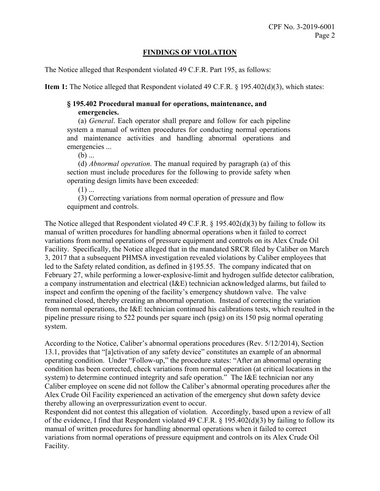# **FINDINGS OF VIOLATION**

The Notice alleged that Respondent violated 49 C.F.R. Part 195, as follows:

**Item 1:** The Notice alleged that Respondent violated 49 C.F.R. § 195.402(d)(3), which states:

# **§ 195.402 Procedural manual for operations, maintenance, and emergencies.**

(a) *General*. Each operator shall prepare and follow for each pipeline system a manual of written procedures for conducting normal operations and maintenance activities and handling abnormal operations and emergencies ...

 $(b)$  ...

(d) *Abnormal operation*. The manual required by paragraph (a) of this section must include procedures for the following to provide safety when operating design limits have been exceeded:

 $(1)$  ...

(3) Correcting variations from normal operation of pressure and flow equipment and controls.

The Notice alleged that Respondent violated 49 C.F.R. § 195.402(d)(3) by failing to follow its manual of written procedures for handling abnormal operations when it failed to correct variations from normal operations of pressure equipment and controls on its Alex Crude Oil Facility. Specifically, the Notice alleged that in the mandated SRCR filed by Caliber on March 3, 2017 that a subsequent PHMSA investigation revealed violations by Caliber employees that led to the Safety related condition, as defined in §195.55. The company indicated that on February 27, while performing a lower-explosive-limit and hydrogen sulfide detector calibration, a company instrumentation and electrical (I&E) technician acknowledged alarms, but failed to inspect and confirm the opening of the facility's emergency shutdown valve. The valve remained closed, thereby creating an abnormal operation. Instead of correcting the variation from normal operations, the I&E technician continued his calibrations tests, which resulted in the pipeline pressure rising to 522 pounds per square inch (psig) on its 150 psig normal operating system.

According to the Notice, Caliber's abnormal operations procedures (Rev. 5/12/2014), Section 13.1, provides that "[a]ctivation of any safety device" constitutes an example of an abnormal operating condition. Under "Follow-up," the procedure states: "After an abnormal operating condition has been corrected, check variations from normal operation (at critical locations in the system) to determine continued integrity and safe operation." The I&E technician nor any Caliber employee on scene did not follow the Caliber's abnormal operating procedures after the Alex Crude Oil Facility experienced an activation of the emergency shut down safety device thereby allowing an overpressurization event to occur.

Respondent did not contest this allegation of violation. Accordingly, based upon a review of all of the evidence, I find that Respondent violated 49 C.F.R. § 195.402(d)(3) by failing to follow its manual of written procedures for handling abnormal operations when it failed to correct variations from normal operations of pressure equipment and controls on its Alex Crude Oil Facility.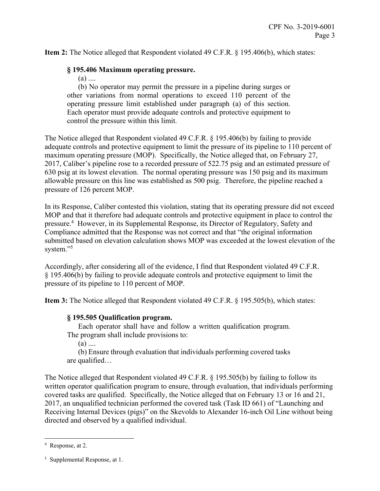**Item 2:** The Notice alleged that Respondent violated 49 C.F.R. § 195.406(b), which states:

### **§ 195.406 Maximum operating pressure.**

 $(a)$  ....

(b) No operator may permit the pressure in a pipeline during surges or other variations from normal operations to exceed 110 percent of the operating pressure limit established under paragraph (a) of this section. Each operator must provide adequate controls and protective equipment to control the pressure within this limit.

The Notice alleged that Respondent violated 49 C.F.R. § 195.406(b) by failing to provide adequate controls and protective equipment to limit the pressure of its pipeline to 110 percent of maximum operating pressure (MOP). Specifically, the Notice alleged that, on February 27, 2017, Caliber's pipeline rose to a recorded pressure of 522.75 psig and an estimated pressure of 630 psig at its lowest elevation. The normal operating pressure was 150 psig and its maximum allowable pressure on this line was established as 500 psig. Therefore, the pipeline reached a pressure of 126 percent MOP.

In its Response, Caliber contested this violation, stating that its operating pressure did not exceed MOP and that it therefore had adequate controls and protective equipment in place to control the pressure.<sup>4</sup> However, in its Supplemental Response, its Director of Regulatory, Safety and Compliance admitted that the Response was not correct and that "the original information submitted based on elevation calculation shows MOP was exceeded at the lowest elevation of the system."<sup>5</sup>

Accordingly, after considering all of the evidence, I find that Respondent violated 49 C.F.R. § 195.406(b) by failing to provide adequate controls and protective equipment to limit the pressure of its pipeline to 110 percent of MOP.

**Item 3:** The Notice alleged that Respondent violated 49 C.F.R. § 195.505(b), which states:

#### **§ 195.505 Qualification program.**

Each operator shall have and follow a written qualification program. The program shall include provisions to:

 $(a)$  ....

(b) Ensure through evaluation that individuals performing covered tasks are qualified…

The Notice alleged that Respondent violated 49 C.F.R. § 195.505(b) by failing to follow its written operator qualification program to ensure, through evaluation, that individuals performing covered tasks are qualified. Specifically, the Notice alleged that on February 13 or 16 and 21, 2017, an unqualified technician performed the covered task (Task ID 661) of "Launching and Receiving Internal Devices (pigs)" on the Skevolds to Alexander 16-inch Oil Line without being directed and observed by a qualified individual.

 $\overline{a}$ 

<sup>4</sup> Response, at 2.

<sup>5</sup> Supplemental Response, at 1.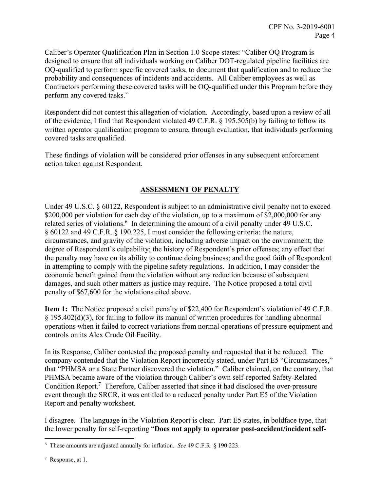Caliber's Operator Qualification Plan in Section 1.0 Scope states: "Caliber OQ Program is designed to ensure that all individuals working on Caliber DOT-regulated pipeline facilities are OQ-qualified to perform specific covered tasks, to document that qualification and to reduce the probability and consequences of incidents and accidents. All Caliber employees as well as Contractors performing these covered tasks will be OQ-qualified under this Program before they perform any covered tasks."

Respondent did not contest this allegation of violation. Accordingly, based upon a review of all of the evidence, I find that Respondent violated 49 C.F.R. § 195.505(b) by failing to follow its written operator qualification program to ensure, through evaluation, that individuals performing covered tasks are qualified.

These findings of violation will be considered prior offenses in any subsequent enforcement action taken against Respondent.

# **ASSESSMENT OF PENALTY**

Under 49 U.S.C. § 60122, Respondent is subject to an administrative civil penalty not to exceed \$200,000 per violation for each day of the violation, up to a maximum of \$2,000,000 for any related series of violations.<sup>6</sup> In determining the amount of a civil penalty under 49 U.S.C. § 60122 and 49 C.F.R. § 190.225, I must consider the following criteria: the nature, circumstances, and gravity of the violation, including adverse impact on the environment; the degree of Respondent's culpability; the history of Respondent's prior offenses; any effect that the penalty may have on its ability to continue doing business; and the good faith of Respondent in attempting to comply with the pipeline safety regulations. In addition, I may consider the economic benefit gained from the violation without any reduction because of subsequent damages, and such other matters as justice may require. The Notice proposed a total civil penalty of \$67,600 for the violations cited above.

**Item 1:** The Notice proposed a civil penalty of \$22,400 for Respondent's violation of 49 C.F.R. § 195.402(d)(3), for failing to follow its manual of written procedures for handling abnormal operations when it failed to correct variations from normal operations of pressure equipment and controls on its Alex Crude Oil Facility.

In its Response, Caliber contested the proposed penalty and requested that it be reduced. The company contended that the Violation Report incorrectly stated, under Part E5 "Circumstances," that "PHMSA or a State Partner discovered the violation." Caliber claimed, on the contrary, that PHMSA became aware of the violation through Caliber's own self-reported Safety-Related Condition Report.<sup>7</sup> Therefore, Caliber asserted that since it had disclosed the over-pressure event through the SRCR, it was entitled to a reduced penalty under Part E5 of the Violation Report and penalty worksheet.

I disagree. The language in the Violation Report is clear. Part E5 states, in boldface type, that the lower penalty for self-reporting "**Does not apply to operator post-accident/incident self-**

7 Response, at 1.

 6 These amounts are adjusted annually for inflation. *See* 49 C.F.R. § 190.223.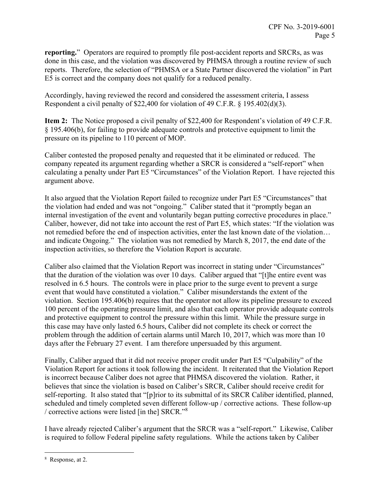**reporting.**" Operators are required to promptly file post-accident reports and SRCRs, as was done in this case, and the violation was discovered by PHMSA through a routine review of such reports. Therefore, the selection of "PHMSA or a State Partner discovered the violation" in Part E5 is correct and the company does not qualify for a reduced penalty.

Accordingly, having reviewed the record and considered the assessment criteria, I assess Respondent a civil penalty of \$22,400 for violation of 49 C.F.R. § 195.402(d)(3).

**Item 2:** The Notice proposed a civil penalty of \$22,400 for Respondent's violation of 49 C.F.R. § 195.406(b), for failing to provide adequate controls and protective equipment to limit the pressure on its pipeline to 110 percent of MOP.

Caliber contested the proposed penalty and requested that it be eliminated or reduced. The company repeated its argument regarding whether a SRCR is considered a "self-report" when calculating a penalty under Part E5 "Circumstances" of the Violation Report. I have rejected this argument above.

It also argued that the Violation Report failed to recognize under Part E5 "Circumstances" that the violation had ended and was not "ongoing." Caliber stated that it "promptly began an internal investigation of the event and voluntarily began putting corrective procedures in place." Caliber, however, did not take into account the rest of Part E5, which states: "If the violation was not remedied before the end of inspection activities, enter the last known date of the violation… and indicate Ongoing." The violation was not remedied by March 8, 2017, the end date of the inspection activities, so therefore the Violation Report is accurate.

Caliber also claimed that the Violation Report was incorrect in stating under "Circumstances" that the duration of the violation was over 10 days. Caliber argued that "[t]he entire event was resolved in 6.5 hours. The controls were in place prior to the surge event to prevent a surge event that would have constituted a violation." Caliber misunderstands the extent of the violation. Section 195.406(b) requires that the operator not allow its pipeline pressure to exceed 100 percent of the operating pressure limit, and also that each operator provide adequate controls and protective equipment to control the pressure within this limit. While the pressure surge in this case may have only lasted 6.5 hours, Caliber did not complete its check or correct the problem through the addition of certain alarms until March 10, 2017, which was more than 10 days after the February 27 event. I am therefore unpersuaded by this argument.

Finally, Caliber argued that it did not receive proper credit under Part E5 "Culpability" of the Violation Report for actions it took following the incident. It reiterated that the Violation Report is incorrect because Caliber does not agree that PHMSA discovered the violation. Rather, it believes that since the violation is based on Caliber's SRCR, Caliber should receive credit for self-reporting. It also stated that "[p]rior to its submittal of its SRCR Caliber identified, planned, scheduled and timely completed seven different follow-up / corrective actions. These follow-up / corrective actions were listed [in the] SRCR."<sup>8</sup>

I have already rejected Caliber's argument that the SRCR was a "self-report." Likewise, Caliber is required to follow Federal pipeline safety regulations. While the actions taken by Caliber

 $\overline{a}$ 8 Response, at 2.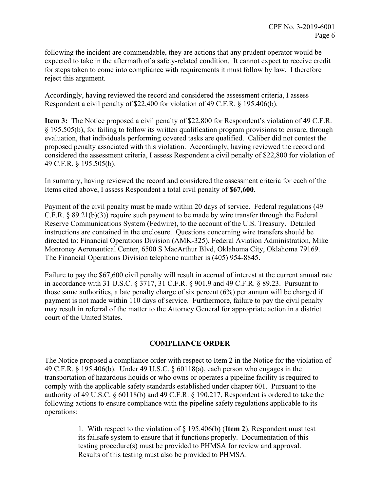following the incident are commendable, they are actions that any prudent operator would be expected to take in the aftermath of a safety-related condition. It cannot expect to receive credit for steps taken to come into compliance with requirements it must follow by law. I therefore reject this argument.

Accordingly, having reviewed the record and considered the assessment criteria, I assess Respondent a civil penalty of \$22,400 for violation of 49 C.F.R. § 195.406(b).

**Item 3:** The Notice proposed a civil penalty of \$22,800 for Respondent's violation of 49 C.F.R. § 195.505(b), for failing to follow its written qualification program provisions to ensure, through evaluation, that individuals performing covered tasks are qualified. Caliber did not contest the proposed penalty associated with this violation. Accordingly, having reviewed the record and considered the assessment criteria, I assess Respondent a civil penalty of \$22,800 for violation of 49 C.F.R. § 195.505(b).

In summary, having reviewed the record and considered the assessment criteria for each of the Items cited above, I assess Respondent a total civil penalty of **\$67,600**.

Payment of the civil penalty must be made within 20 days of service. Federal regulations (49 C.F.R. § 89.21(b)(3)) require such payment to be made by wire transfer through the Federal Reserve Communications System (Fedwire), to the account of the U.S. Treasury. Detailed instructions are contained in the enclosure. Questions concerning wire transfers should be directed to: Financial Operations Division (AMK-325), Federal Aviation Administration, Mike Monroney Aeronautical Center, 6500 S MacArthur Blvd, Oklahoma City, Oklahoma 79169. The Financial Operations Division telephone number is (405) 954-8845.

Failure to pay the \$67,600 civil penalty will result in accrual of interest at the current annual rate in accordance with 31 U.S.C. § 3717, 31 C.F.R. § 901.9 and 49 C.F.R. § 89.23. Pursuant to those same authorities, a late penalty charge of six percent (6%) per annum will be charged if payment is not made within 110 days of service. Furthermore, failure to pay the civil penalty may result in referral of the matter to the Attorney General for appropriate action in a district court of the United States.

# **COMPLIANCE ORDER**

The Notice proposed a compliance order with respect to Item 2 in the Notice for the violation of 49 C.F.R. § 195.406(b). Under 49 U.S.C. § 60118(a), each person who engages in the transportation of hazardous liquids or who owns or operates a pipeline facility is required to comply with the applicable safety standards established under chapter 601. Pursuant to the authority of 49 U.S.C. § 60118(b) and 49 C.F.R. § 190.217, Respondent is ordered to take the following actions to ensure compliance with the pipeline safety regulations applicable to its operations:

> 1. With respect to the violation of § 195.406(b) (**Item 2**), Respondent must test its failsafe system to ensure that it functions properly. Documentation of this testing procedure(s) must be provided to PHMSA for review and approval. Results of this testing must also be provided to PHMSA.